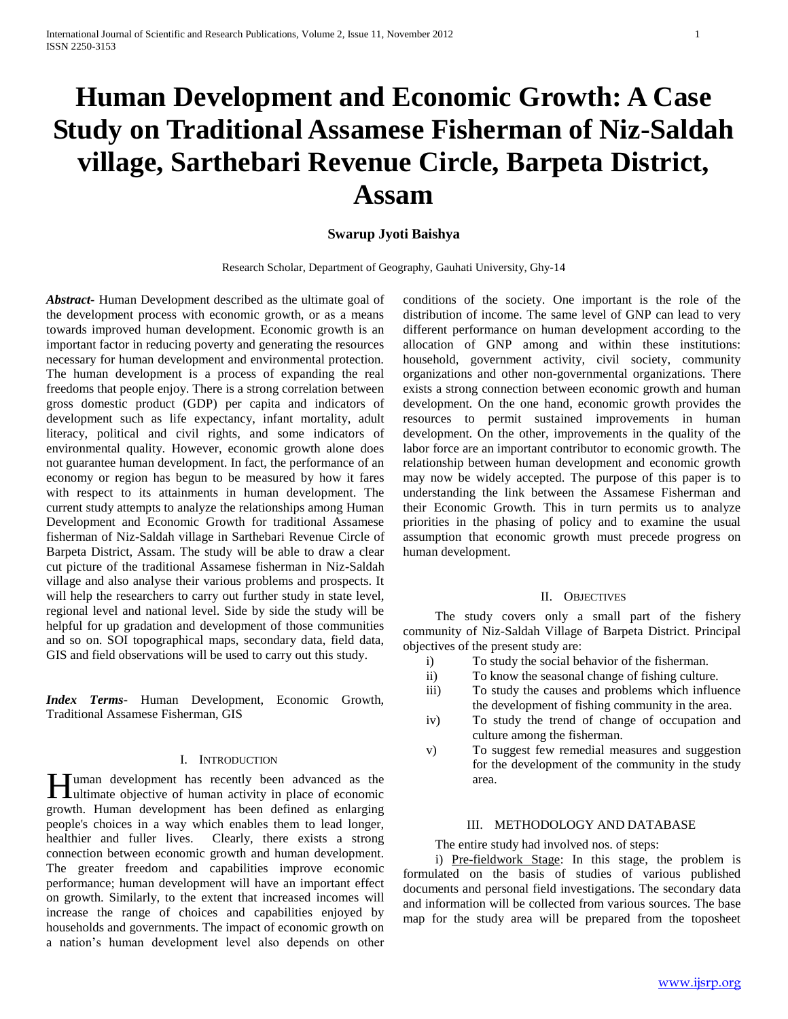# **Human Development and Economic Growth: A Case Study on Traditional Assamese Fisherman of Niz-Saldah village, Sarthebari Revenue Circle, Barpeta District, Assam**

## **Swarup Jyoti Baishya**

Research Scholar, Department of Geography, Gauhati University, Ghy-14

*Abstract***-** Human Development described as the ultimate goal of the development process with economic growth, or as a means towards improved human development. Economic growth is an important factor in reducing poverty and generating the resources necessary for human development and environmental protection. The human development is a process of expanding the real freedoms that people enjoy. There is a strong correlation between gross domestic product (GDP) per capita and indicators of development such as life expectancy, infant mortality, adult literacy, political and civil rights, and some indicators of environmental quality. However, economic growth alone does not guarantee human development. In fact, the performance of an economy or region has begun to be measured by how it fares with respect to its attainments in human development. The current study attempts to analyze the relationships among Human Development and Economic Growth for traditional Assamese fisherman of Niz-Saldah village in Sarthebari Revenue Circle of Barpeta District, Assam. The study will be able to draw a clear cut picture of the traditional Assamese fisherman in Niz-Saldah village and also analyse their various problems and prospects. It will help the researchers to carry out further study in state level, regional level and national level. Side by side the study will be helpful for up gradation and development of those communities and so on. SOI topographical maps, secondary data, field data, GIS and field observations will be used to carry out this study.

*Index Terms*- Human Development, Economic Growth, Traditional Assamese Fisherman, GIS

#### I. INTRODUCTION

uman development has recently been advanced as the Hultimate objective of human activity in place of economic growth. Human development has been defined as enlarging people's choices in a way which enables them to lead longer, healthier and fuller lives. Clearly, there exists a strong connection between economic growth and human development. The greater freedom and capabilities improve economic performance; human development will have an important effect on growth. Similarly, to the extent that increased incomes will increase the range of choices and capabilities enjoyed by households and governments. The impact of economic growth on a nation's human development level also depends on other

conditions of the society. One important is the role of the distribution of income. The same level of GNP can lead to very different performance on human development according to the allocation of GNP among and within these institutions: household, government activity, civil society, community organizations and other non-governmental organizations. There exists a strong connection between economic growth and human development. On the one hand, economic growth provides the resources to permit sustained improvements in human development. On the other, improvements in the quality of the labor force are an important contributor to economic growth. The relationship between human development and economic growth may now be widely accepted. The purpose of this paper is to understanding the link between the Assamese Fisherman and their Economic Growth. This in turn permits us to analyze priorities in the phasing of policy and to examine the usual assumption that economic growth must precede progress on human development.

#### II. OBJECTIVES

 The study covers only a small part of the fishery community of Niz-Saldah Village of Barpeta District. Principal objectives of the present study are:

- i) To study the social behavior of the fisherman.
- ii) To know the seasonal change of fishing culture.
- iii) To study the causes and problems which influence the development of fishing community in the area.
- iv) To study the trend of change of occupation and culture among the fisherman.
- v) To suggest few remedial measures and suggestion for the development of the community in the study area.

### III. METHODOLOGY AND DATABASE

The entire study had involved nos. of steps:

 i) Pre-fieldwork Stage: In this stage, the problem is formulated on the basis of studies of various published documents and personal field investigations. The secondary data and information will be collected from various sources. The base map for the study area will be prepared from the toposheet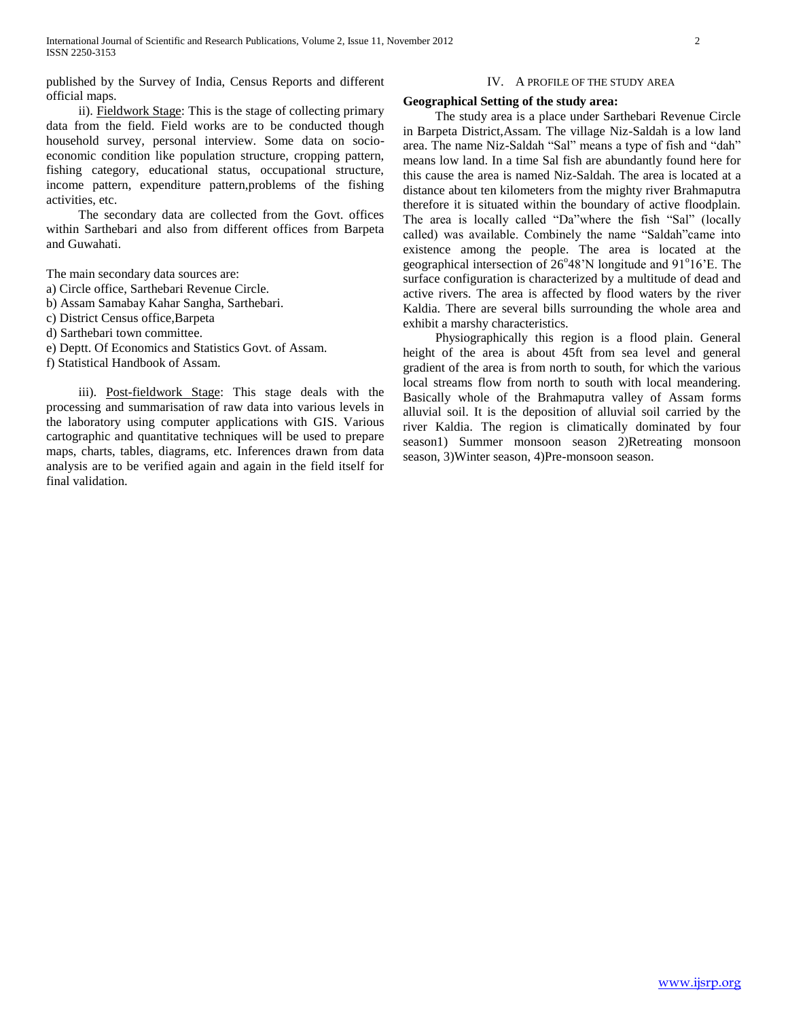published by the Survey of India, Census Reports and different official maps.

#### IV. A PROFILE OF THE STUDY AREA

#### **Geographical Setting of the study area:**

 ii). Fieldwork Stage: This is the stage of collecting primary data from the field. Field works are to be conducted though household survey, personal interview. Some data on socioeconomic condition like population structure, cropping pattern, fishing category, educational status, occupational structure, income pattern, expenditure pattern,problems of the fishing activities, etc.

 The secondary data are collected from the Govt. offices within Sarthebari and also from different offices from Barpeta and Guwahati.

The main secondary data sources are:

- a) Circle office, Sarthebari Revenue Circle.
- b) Assam Samabay Kahar Sangha, Sarthebari.
- c) District Census office,Barpeta
- d) Sarthebari town committee.
- e) Deptt. Of Economics and Statistics Govt. of Assam.

f) Statistical Handbook of Assam.

iii). Post-fieldwork Stage: This stage deals with the processing and summarisation of raw data into various levels in the laboratory using computer applications with GIS. Various cartographic and quantitative techniques will be used to prepare maps, charts, tables, diagrams, etc. Inferences drawn from data analysis are to be verified again and again in the field itself for final validation.

 The study area is a place under Sarthebari Revenue Circle in Barpeta District,Assam. The village Niz-Saldah is a low land area. The name Niz-Saldah "Sal" means a type of fish and "dah" means low land. In a time Sal fish are abundantly found here for this cause the area is named Niz-Saldah. The area is located at a distance about ten kilometers from the mighty river Brahmaputra therefore it is situated within the boundary of active floodplain. The area is locally called "Da"where the fish "Sal" (locally called) was available. Combinely the name "Saldah"came into existence among the people. The area is located at the geographical intersection of 26°48'N longitude and 91°16'E. The surface configuration is characterized by a multitude of dead and active rivers. The area is affected by flood waters by the river Kaldia. There are several bills surrounding the whole area and exhibit a marshy characteristics.

 Physiographically this region is a flood plain. General height of the area is about 45ft from sea level and general gradient of the area is from north to south, for which the various local streams flow from north to south with local meandering. Basically whole of the Brahmaputra valley of Assam forms alluvial soil. It is the deposition of alluvial soil carried by the river Kaldia. The region is climatically dominated by four season1) Summer monsoon season 2)Retreating monsoon season, 3)Winter season, 4)Pre-monsoon season.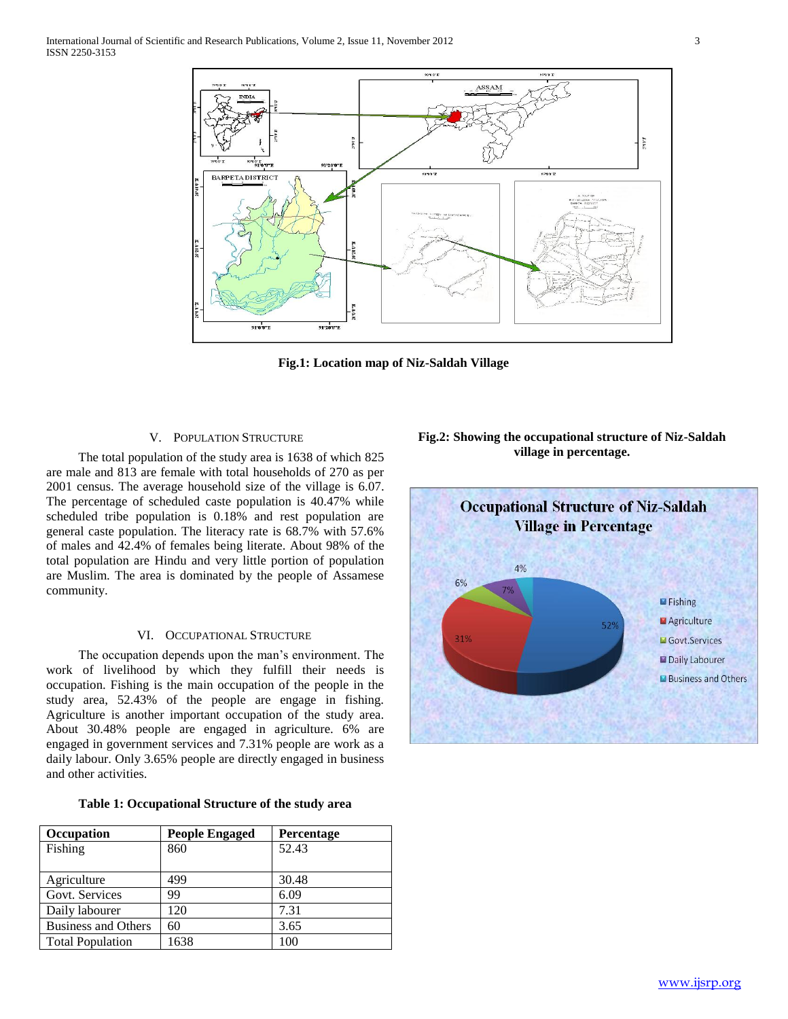

**Fig.1: Location map of Niz-Saldah Village**

#### V. POPULATION STRUCTURE

 The total population of the study area is 1638 of which 825 are male and 813 are female with total households of 270 as per 2001 census. The average household size of the village is 6.07. The percentage of scheduled caste population is 40.47% while scheduled tribe population is 0.18% and rest population are general caste population. The literacy rate is 68.7% with 57.6% of males and 42.4% of females being literate. About 98% of the total population are Hindu and very little portion of population are Muslim. The area is dominated by the people of Assamese community.

### VI. OCCUPATIONAL STRUCTURE

 The occupation depends upon the man's environment. The work of livelihood by which they fulfill their needs is occupation. Fishing is the main occupation of the people in the study area, 52.43% of the people are engage in fishing. Agriculture is another important occupation of the study area. About 30.48% people are engaged in agriculture. 6% are engaged in government services and 7.31% people are work as a daily labour. Only 3.65% people are directly engaged in business and other activities.

|  | Table 1: Occupational Structure of the study area |  |  |  |  |
|--|---------------------------------------------------|--|--|--|--|
|--|---------------------------------------------------|--|--|--|--|

| Occupation                 | <b>People Engaged</b> | Percentage |
|----------------------------|-----------------------|------------|
| Fishing                    | 860                   | 52.43      |
|                            |                       |            |
| Agriculture                | 499                   | 30.48      |
| Govt. Services             | 99                    | 6.09       |
| Daily labourer             | 120                   | 7.31       |
| <b>Business and Others</b> | 60                    | 3.65       |
| <b>Total Population</b>    | 1638                  | 100        |

# **Fig.2: Showing the occupational structure of Niz-Saldah village in percentage.**

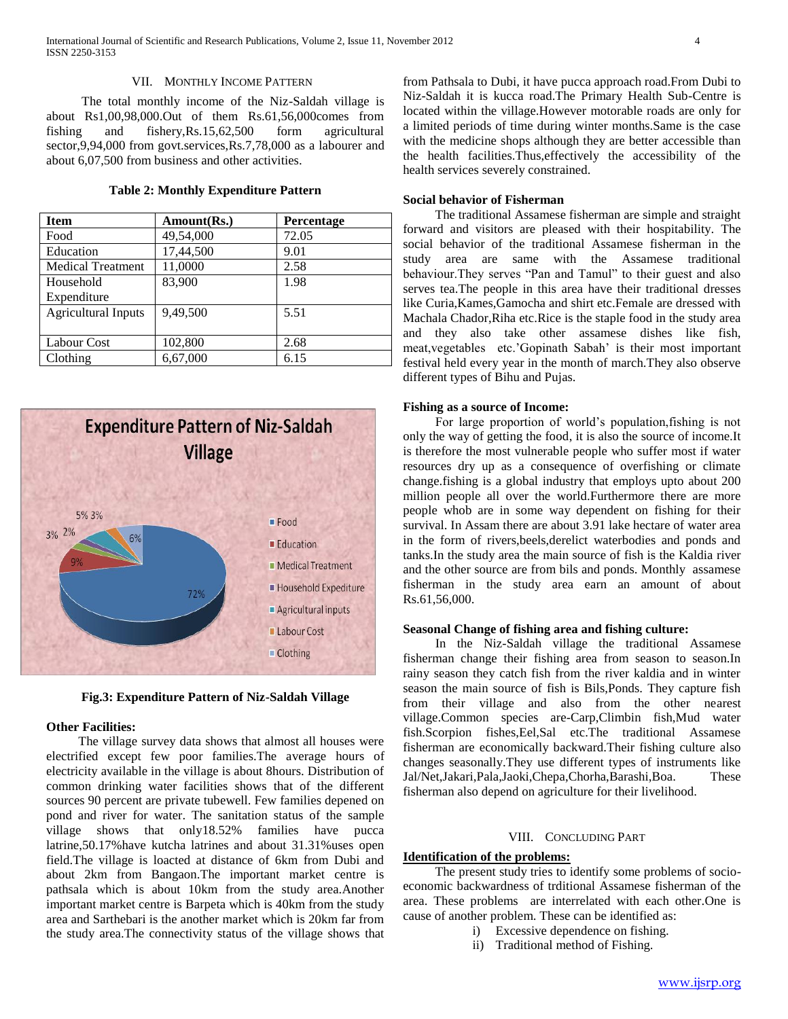#### VII. MONTHLY INCOME PATTERN

 The total monthly income of the Niz-Saldah village is about Rs1,00,98,000.Out of them Rs.61,56,000comes from fishing and fishery,Rs.15,62,500 form agricultural sector,9,94,000 from govt.services,Rs.7,78,000 as a labourer and about 6,07,500 from business and other activities.

# **Table 2: Monthly Expenditure Pattern**

| <b>Item</b>                | Amount(Rs.) | Percentage |
|----------------------------|-------------|------------|
| Food                       | 49,54,000   | 72.05      |
| Education                  | 17,44,500   | 9.01       |
| <b>Medical Treatment</b>   | 11,0000     | 2.58       |
| Household                  | 83,900      | 1.98       |
| Expenditure                |             |            |
| <b>Agricultural Inputs</b> | 9.49.500    | 5.51       |
|                            |             |            |
| Labour Cost                | 102,800     | 2.68       |
| Clothing                   | 6,67,000    | 6.15       |



**Fig.3: Expenditure Pattern of Niz-Saldah Village**

#### **Other Facilities:**

 The village survey data shows that almost all houses were electrified except few poor families.The average hours of electricity available in the village is about 8hours. Distribution of common drinking water facilities shows that of the different sources 90 percent are private tubewell. Few families depened on pond and river for water. The sanitation status of the sample village shows that only18.52% families have pucca latrine,50.17%have kutcha latrines and about 31.31%uses open field.The village is loacted at distance of 6km from Dubi and about 2km from Bangaon.The important market centre is pathsala which is about 10km from the study area.Another important market centre is Barpeta which is 40km from the study area and Sarthebari is the another market which is 20km far from the study area.The connectivity status of the village shows that

from Pathsala to Dubi, it have pucca approach road.From Dubi to Niz-Saldah it is kucca road.The Primary Health Sub-Centre is located within the village.However motorable roads are only for a limited periods of time during winter months.Same is the case with the medicine shops although they are better accessible than the health facilities.Thus,effectively the accessibility of the health services severely constrained.

#### **Social behavior of Fisherman**

 The traditional Assamese fisherman are simple and straight forward and visitors are pleased with their hospitability. The social behavior of the traditional Assamese fisherman in the study area are same with the Assamese traditional behaviour.They serves "Pan and Tamul" to their guest and also serves tea.The people in this area have their traditional dresses like Curia,Kames,Gamocha and shirt etc.Female are dressed with Machala Chador,Riha etc.Rice is the staple food in the study area and they also take other assamese dishes like fish, meat,vegetables etc.'Gopinath Sabah' is their most important festival held every year in the month of march.They also observe different types of Bihu and Pujas.

#### **Fishing as a source of Income:**

 For large proportion of world's population,fishing is not only the way of getting the food, it is also the source of income.It is therefore the most vulnerable people who suffer most if water resources dry up as a consequence of overfishing or climate change.fishing is a global industry that employs upto about 200 million people all over the world.Furthermore there are more people whob are in some way dependent on fishing for their survival. In Assam there are about 3.91 lake hectare of water area in the form of rivers,beels,derelict waterbodies and ponds and tanks.In the study area the main source of fish is the Kaldia river and the other source are from bils and ponds. Monthly assamese fisherman in the study area earn an amount of about Rs.61,56,000.

## **Seasonal Change of fishing area and fishing culture:**

 In the Niz-Saldah village the traditional Assamese fisherman change their fishing area from season to season.In rainy season they catch fish from the river kaldia and in winter season the main source of fish is Bils,Ponds. They capture fish from their village and also from the other nearest village.Common species are-Carp,Climbin fish,Mud water fish.Scorpion fishes,Eel,Sal etc.The traditional Assamese fisherman are economically backward.Their fishing culture also changes seasonally.They use different types of instruments like Jal/Net,Jakari,Pala,Jaoki,Chepa,Chorha,Barashi,Boa. These fisherman also depend on agriculture for their livelihood.

## VIII. CONCLUDING PART

# **Identification of the problems:**

 The present study tries to identify some problems of socioeconomic backwardness of trditional Assamese fisherman of the area. These problems are interrelated with each other.One is cause of another problem. These can be identified as:

- i) Excessive dependence on fishing.
	- ii) Traditional method of Fishing.